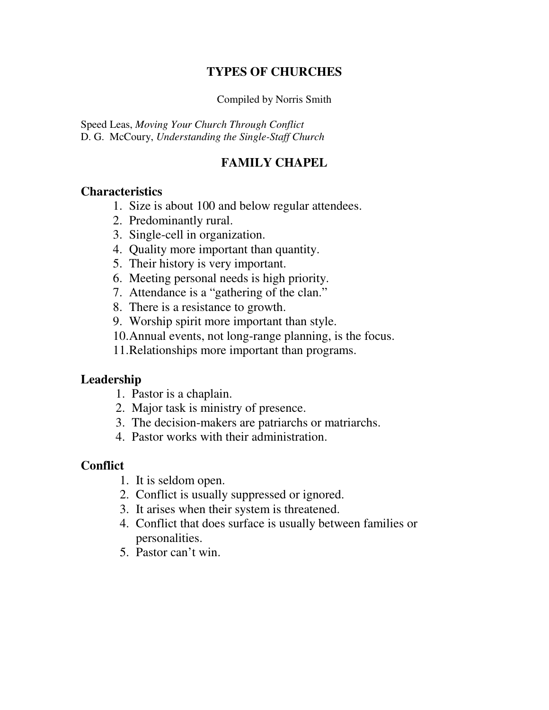### **TYPES OF CHURCHES**

Compiled by Norris Smith

Speed Leas, *Moving Your Church Through Conflict* D. G. McCoury, *Understanding the Single-Staff Church*

## **FAMILY CHAPEL**

#### **Characteristics**

- 1. Size is about 100 and below regular attendees.
- 2. Predominantly rural.
- 3. Single-cell in organization.
- 4. Quality more important than quantity.
- 5. Their history is very important.
- 6. Meeting personal needs is high priority.
- 7. Attendance is a "gathering of the clan."
- 8. There is a resistance to growth.
- 9. Worship spirit more important than style.
- 10.Annual events, not long-range planning, is the focus.
- 11.Relationships more important than programs.

#### **Leadership**

- 1. Pastor is a chaplain.
- 2. Major task is ministry of presence.
- 3. The decision-makers are patriarchs or matriarchs.
- 4. Pastor works with their administration.

- 1. It is seldom open.
- 2. Conflict is usually suppressed or ignored.
- 3. It arises when their system is threatened.
- 4. Conflict that does surface is usually between families or personalities.
- 5. Pastor can't win.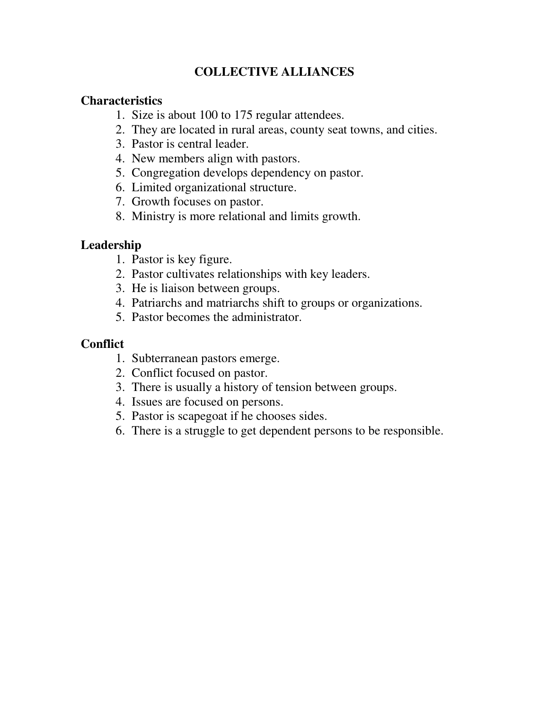## **COLLECTIVE ALLIANCES**

#### **Characteristics**

- 1. Size is about 100 to 175 regular attendees.
- 2. They are located in rural areas, county seat towns, and cities.
- 3. Pastor is central leader.
- 4. New members align with pastors.
- 5. Congregation develops dependency on pastor.
- 6. Limited organizational structure.
- 7. Growth focuses on pastor.
- 8. Ministry is more relational and limits growth.

#### **Leadership**

- 1. Pastor is key figure.
- 2. Pastor cultivates relationships with key leaders.
- 3. He is liaison between groups.
- 4. Patriarchs and matriarchs shift to groups or organizations.
- 5. Pastor becomes the administrator.

- 1. Subterranean pastors emerge.
- 2. Conflict focused on pastor.
- 3. There is usually a history of tension between groups.
- 4. Issues are focused on persons.
- 5. Pastor is scapegoat if he chooses sides.
- 6. There is a struggle to get dependent persons to be responsible.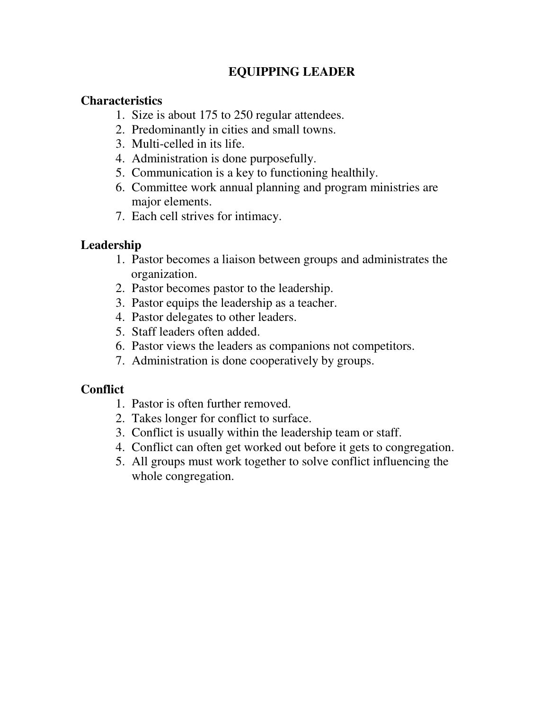## **EQUIPPING LEADER**

### **Characteristics**

- 1. Size is about 175 to 250 regular attendees.
- 2. Predominantly in cities and small towns.
- 3. Multi-celled in its life.
- 4. Administration is done purposefully.
- 5. Communication is a key to functioning healthily.
- 6. Committee work annual planning and program ministries are major elements.
- 7. Each cell strives for intimacy.

## **Leadership**

- 1. Pastor becomes a liaison between groups and administrates the organization.
- 2. Pastor becomes pastor to the leadership.
- 3. Pastor equips the leadership as a teacher.
- 4. Pastor delegates to other leaders.
- 5. Staff leaders often added.
- 6. Pastor views the leaders as companions not competitors.
- 7. Administration is done cooperatively by groups.

- 1. Pastor is often further removed.
- 2. Takes longer for conflict to surface.
- 3. Conflict is usually within the leadership team or staff.
- 4. Conflict can often get worked out before it gets to congregation.
- 5. All groups must work together to solve conflict influencing the whole congregation.